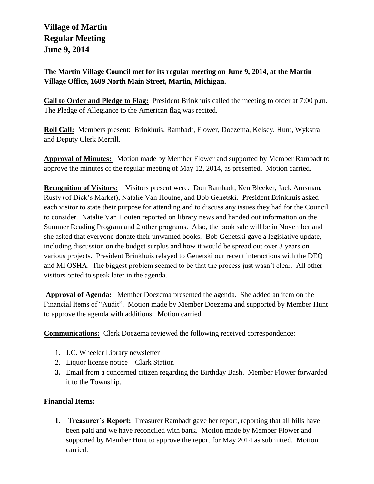# **Village of Martin Regular Meeting June 9, 2014**

**The Martin Village Council met for its regular meeting on June 9, 2014, at the Martin Village Office, 1609 North Main Street, Martin, Michigan.**

**Call to Order and Pledge to Flag:** President Brinkhuis called the meeting to order at 7:00 p.m. The Pledge of Allegiance to the American flag was recited.

**Roll Call:** Members present: Brinkhuis, Rambadt, Flower, Doezema, Kelsey, Hunt, Wykstra and Deputy Clerk Merrill.

**Approval of Minutes:** Motion made by Member Flower and supported by Member Rambadt to approve the minutes of the regular meeting of May 12, 2014, as presented. Motion carried.

**Recognition of Visitors:** Visitors present were: Don Rambadt, Ken Bleeker, Jack Arnsman, Rusty (of Dick's Market), Natalie Van Houtne, and Bob Genetski. President Brinkhuis asked each visitor to state their purpose for attending and to discuss any issues they had for the Council to consider. Natalie Van Houten reported on library news and handed out information on the Summer Reading Program and 2 other programs. Also, the book sale will be in November and she asked that everyone donate their unwanted books. Bob Genetski gave a legislative update, including discussion on the budget surplus and how it would be spread out over 3 years on various projects. President Brinkhuis relayed to Genetski our recent interactions with the DEQ and MI OSHA. The biggest problem seemed to be that the process just wasn't clear. All other visitors opted to speak later in the agenda.

**Approval of Agenda:** Member Doezema presented the agenda. She added an item on the Financial Items of "Audit". Motion made by Member Doezema and supported by Member Hunt to approve the agenda with additions. Motion carried.

**Communications:** Clerk Doezema reviewed the following received correspondence:

- 1. J.C. Wheeler Library newsletter
- 2. Liquor license notice Clark Station
- **3.** Email from a concerned citizen regarding the Birthday Bash. Member Flower forwarded it to the Township.

# **Financial Items:**

**1. Treasurer's Report:** Treasurer Rambadt gave her report, reporting that all bills have been paid and we have reconciled with bank. Motion made by Member Flower and supported by Member Hunt to approve the report for May 2014 as submitted. Motion carried.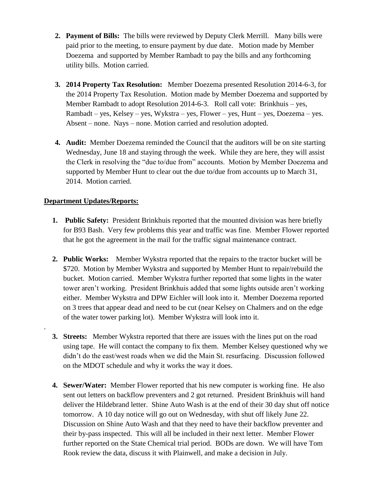- **2. Payment of Bills:** The bills were reviewed by Deputy Clerk Merrill. Many bills were paid prior to the meeting, to ensure payment by due date. Motion made by Member Doezema and supported by Member Rambadt to pay the bills and any forthcoming utility bills. Motion carried.
- **3. 2014 Property Tax Resolution:** Member Doezema presented Resolution 2014-6-3, for the 2014 Property Tax Resolution. Motion made by Member Doezema and supported by Member Rambadt to adopt Resolution 2014-6-3. Roll call vote: Brinkhuis – yes, Rambadt – yes, Kelsey – yes, Wykstra – yes, Flower – yes, Hunt – yes, Doezema – yes. Absent – none. Nays – none. Motion carried and resolution adopted.
- **4. Audit:** Member Doezema reminded the Council that the auditors will be on site starting Wednesday, June 18 and staying through the week. While they are here, they will assist the Clerk in resolving the "due to/due from" accounts. Motion by Member Doezema and supported by Member Hunt to clear out the due to/due from accounts up to March 31, 2014. Motion carried.

### **Department Updates/Reports:**

.

- **1. Public Safety:** President Brinkhuis reported that the mounted division was here briefly for B93 Bash. Very few problems this year and traffic was fine. Member Flower reported that he got the agreement in the mail for the traffic signal maintenance contract.
- **2. Public Works:** Member Wykstra reported that the repairs to the tractor bucket will be \$720. Motion by Member Wykstra and supported by Member Hunt to repair/rebuild the bucket. Motion carried. Member Wykstra further reported that some lights in the water tower aren't working. President Brinkhuis added that some lights outside aren't working either. Member Wykstra and DPW Eichler will look into it. Member Doezema reported on 3 trees that appear dead and need to be cut (near Kelsey on Chalmers and on the edge of the water tower parking lot). Member Wykstra will look into it.
- **3. Streets:** Member Wykstra reported that there are issues with the lines put on the road using tape. He will contact the company to fix them. Member Kelsey questioned why we didn't do the east/west roads when we did the Main St. resurfacing. Discussion followed on the MDOT schedule and why it works the way it does.
- **4. Sewer/Water:** Member Flower reported that his new computer is working fine. He also sent out letters on backflow preventers and 2 got returned. President Brinkhuis will hand deliver the Hildebrand letter. Shine Auto Wash is at the end of their 30 day shut off notice tomorrow. A 10 day notice will go out on Wednesday, with shut off likely June 22. Discussion on Shine Auto Wash and that they need to have their backflow preventer and their by-pass inspected. This will all be included in their next letter. Member Flower further reported on the State Chemical trial period. BODs are down. We will have Tom Rook review the data, discuss it with Plainwell, and make a decision in July.